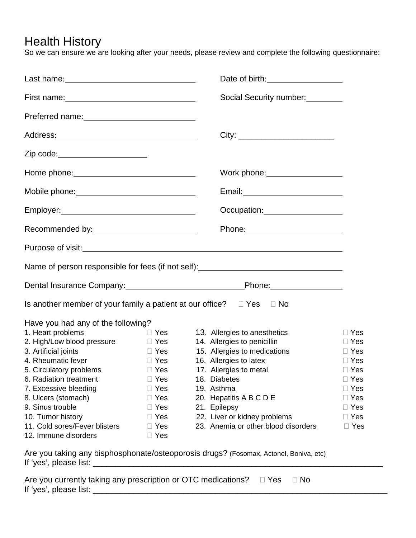## Health History

So we can ensure we are looking after your needs, please review and complete the following questionnaire:

|                                                                                       |            | Date of birth: <u>contained</u>                                                                                                                                                                                                      |            |  |  |
|---------------------------------------------------------------------------------------|------------|--------------------------------------------------------------------------------------------------------------------------------------------------------------------------------------------------------------------------------------|------------|--|--|
|                                                                                       |            | Social Security number:<br><u>Lettin manufacture</u>                                                                                                                                                                                 |            |  |  |
|                                                                                       |            |                                                                                                                                                                                                                                      |            |  |  |
|                                                                                       |            | City: _________________________                                                                                                                                                                                                      |            |  |  |
| Zip code: _______________________                                                     |            |                                                                                                                                                                                                                                      |            |  |  |
|                                                                                       |            |                                                                                                                                                                                                                                      |            |  |  |
| Mobile phone:______________________________                                           |            | Email: Value of the Contract of the Contract of the Contract of the Contract of the Contract of the Contract of the Contract of the Contract of the Contract of the Contract of the Contract of the Contract of the Contract o       |            |  |  |
|                                                                                       |            |                                                                                                                                                                                                                                      |            |  |  |
| Recommended by:<br><u>Necommended</u> by:                                             |            |                                                                                                                                                                                                                                      |            |  |  |
|                                                                                       |            | Purpose of visit: <u>example and contract and contract and contract and contract and contract and contract and contract and contract and contract and contract and contract and contract and contract and contract and contract </u> |            |  |  |
| Name of person responsible for fees (if not self): _____________________________      |            |                                                                                                                                                                                                                                      |            |  |  |
|                                                                                       |            |                                                                                                                                                                                                                                      |            |  |  |
| Is another member of your family a patient at our office? $\square$ Yes $\square$ No  |            |                                                                                                                                                                                                                                      |            |  |  |
| Have you had any of the following?                                                    |            |                                                                                                                                                                                                                                      |            |  |  |
| 1. Heart problems                                                                     | $\Box$ Yes | 13. Allergies to anesthetics                                                                                                                                                                                                         | $\Box$ Yes |  |  |
| 2. High/Low blood pressure                                                            | $\Box$ Yes | 14. Allergies to penicillin                                                                                                                                                                                                          | $\Box$ Yes |  |  |
| 3. Artificial joints                                                                  | $\Box$ Yes | 15. Allergies to medications                                                                                                                                                                                                         | $\Box$ Yes |  |  |
| 4. Rheumatic fever                                                                    | $\Box$ Yes | 16. Allergies to latex                                                                                                                                                                                                               | $\Box$ Yes |  |  |
| 5. Circulatory problems                                                               | $\Box$ Yes | 17. Allergies to metal                                                                                                                                                                                                               | $\Box$ Yes |  |  |
| 6. Radiation treatment                                                                | $\Box$ Yes | 18. Diabetes                                                                                                                                                                                                                         | $\Box$ Yes |  |  |
| 7. Excessive bleeding                                                                 | $\Box$ Yes | 19. Asthma                                                                                                                                                                                                                           | $\Box$ Yes |  |  |
| 8. Ulcers (stomach)                                                                   | $\Box$ Yes | 20. Hepatitis A B C D E                                                                                                                                                                                                              | $\Box$ Yes |  |  |
| 9. Sinus trouble                                                                      | $\Box$ Yes | 21. Epilepsy                                                                                                                                                                                                                         | $\Box$ Yes |  |  |
| 10. Tumor history                                                                     | $\Box$ Yes | 22. Liver or kidney problems                                                                                                                                                                                                         | $\Box$ Yes |  |  |
| 11. Cold sores/Fever blisters                                                         | $\Box$ Yes | 23. Anemia or other blood disorders                                                                                                                                                                                                  | $\Box$ Yes |  |  |
| 12. Immune disorders                                                                  | $\Box$ Yes |                                                                                                                                                                                                                                      |            |  |  |
| Are you taking any bisphosphonate/osteoporosis drugs? (Fosomax, Actonel, Boniva, etc) |            |                                                                                                                                                                                                                                      |            |  |  |
| Are you currently taking any prescription or OTC medications?                         |            | ⊟ Yes<br>$\Box$ No                                                                                                                                                                                                                   |            |  |  |